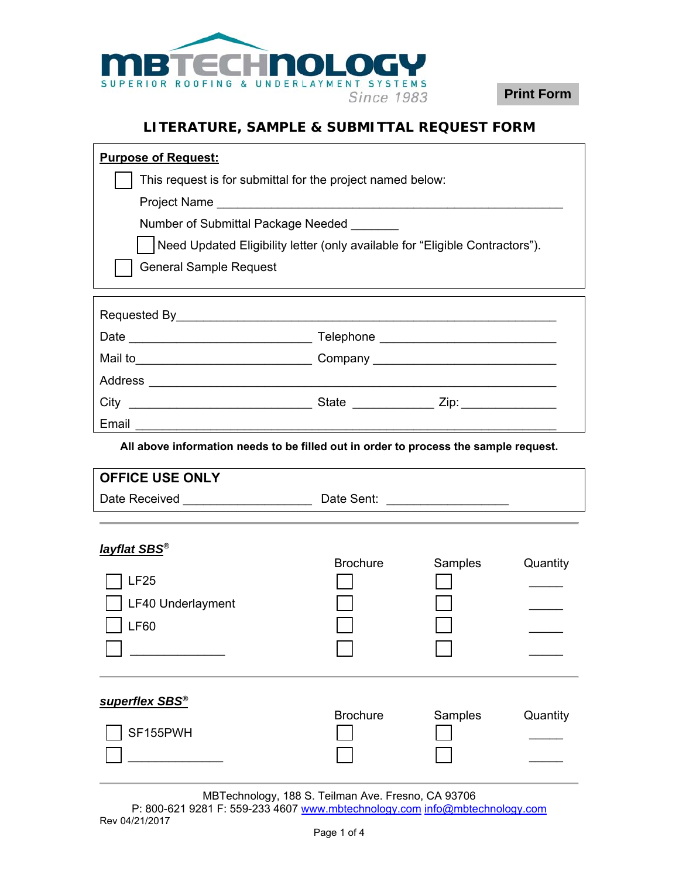

**Print Form**

## **LITERATURE, SAMPLE & SUBMITTAL REQUEST FORM**

| <b>Purpose of Request:</b>                                                           |                 |         |          |  |  |  |
|--------------------------------------------------------------------------------------|-----------------|---------|----------|--|--|--|
| This request is for submittal for the project named below:                           |                 |         |          |  |  |  |
|                                                                                      |                 |         |          |  |  |  |
| Number of Submittal Package Needed                                                   |                 |         |          |  |  |  |
| Need Updated Eligibility letter (only available for "Eligible Contractors").         |                 |         |          |  |  |  |
| <b>General Sample Request</b>                                                        |                 |         |          |  |  |  |
|                                                                                      |                 |         |          |  |  |  |
|                                                                                      |                 |         |          |  |  |  |
|                                                                                      |                 |         |          |  |  |  |
|                                                                                      |                 |         |          |  |  |  |
|                                                                                      |                 |         |          |  |  |  |
|                                                                                      |                 |         |          |  |  |  |
| Email                                                                                |                 |         |          |  |  |  |
| All above information needs to be filled out in order to process the sample request. |                 |         |          |  |  |  |
| <b>OFFICE USE ONLY</b>                                                               |                 |         |          |  |  |  |
|                                                                                      |                 |         |          |  |  |  |
|                                                                                      |                 |         |          |  |  |  |
|                                                                                      |                 |         |          |  |  |  |
| <b><u>layflat SBS®</u></b>                                                           | <b>Brochure</b> | Samples | Quantity |  |  |  |
| <b>LF25</b>                                                                          |                 |         |          |  |  |  |
| <b>LF40 Underlayment</b>                                                             |                 |         |          |  |  |  |
| <b>LF60</b>                                                                          |                 |         |          |  |  |  |
|                                                                                      |                 |         |          |  |  |  |
|                                                                                      |                 |         |          |  |  |  |
|                                                                                      |                 |         |          |  |  |  |
| superflex SBS <sup>®</sup>                                                           | <b>Brochure</b> | Samples | Quantity |  |  |  |
|                                                                                      |                 |         |          |  |  |  |
| SF155PWH                                                                             |                 |         |          |  |  |  |

MBTechnology, 188 S. Teilman Ave. Fresno, CA 93706 P: 800-621 9281 F: 559-233 4607 www.mbtechnology.com info@mbtechnology.com Rev 04/21/2017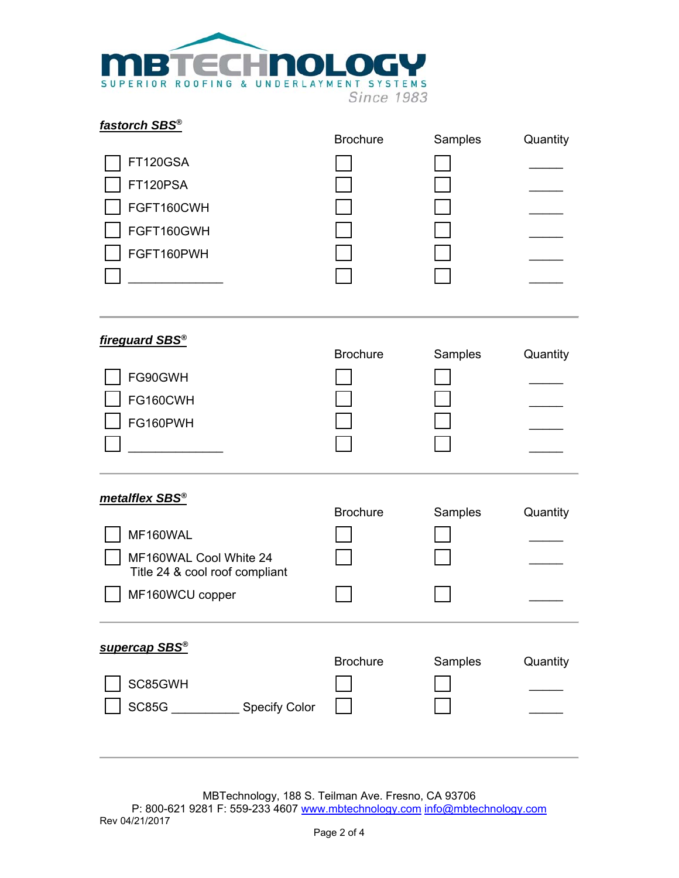

| fastorch SBS®<br>FT120GSA<br>FT120PSA<br>FGFT160CWH<br>FGFT160GWH<br>FGFT160PWH                                                                    | <b>Brochure</b> | Samples | Quantity |
|----------------------------------------------------------------------------------------------------------------------------------------------------|-----------------|---------|----------|
| fireguard SBS <sup>®</sup><br>FG90GWH<br>FG160CWH<br>FG160PWH                                                                                      | <b>Brochure</b> | Samples | Quantity |
| metalflex SBS <sup>®</sup><br>MF160WAL<br>MF160WAL Cool White 24<br>Title 24 & cool roof compliant<br>MF160WCU copper<br>supercap SBS <sup>®</sup> | <b>Brochure</b> | Samples | Quantity |
| SC85GWH<br>SC85G<br>Specify Color                                                                                                                  | <b>Brochure</b> | Samples | Quantity |

MBTechnology, 188 S. Teilman Ave. Fresno, CA 93706 P: 800-621 9281 F: 559-233 4607 www.mbtechnology.com info@mbtechnology.com Rev 04/21/2017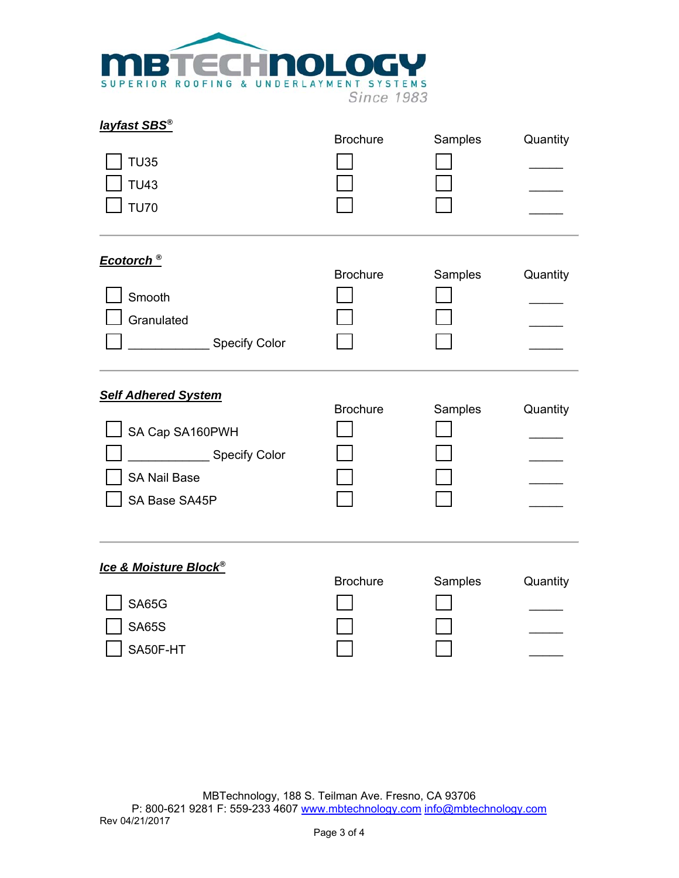

| layfast SBS®<br><b>TU35</b><br><b>TU43</b><br><b>TU70</b>                                              | <b>Brochure</b> | Samples | Quantity |
|--------------------------------------------------------------------------------------------------------|-----------------|---------|----------|
| Ecotorch <sup>®</sup><br>Smooth<br>Granulated<br><b>Specify Color</b>                                  | <b>Brochure</b> | Samples | Quantity |
| <b>Self Adhered System</b><br>SA Cap SA160PWH<br>Specify Color<br><b>SA Nail Base</b><br>SA Base SA45P | <b>Brochure</b> | Samples | Quantity |
| <b>Ice &amp; Moisture Block®</b><br><b>SA65G</b><br><b>SA65S</b><br>SA50F-HT                           | <b>Brochure</b> | Samples | Quantity |